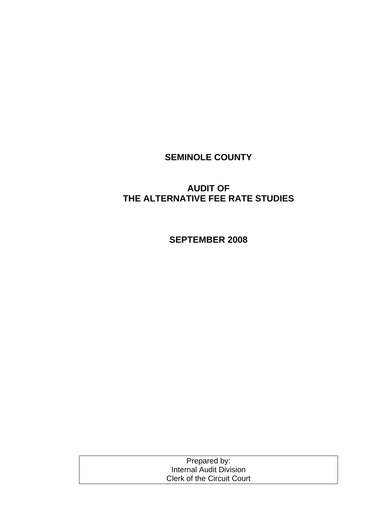# **SEMINOLE COUNTY**

# **AUDIT OF THE ALTERNATIVE FEE RATE STUDIES**

**SEPTEMBER 2008** 

| Prepared by:                      |  |
|-----------------------------------|--|
| Internal Audit Division           |  |
| <b>Clerk of the Circuit Court</b> |  |
|                                   |  |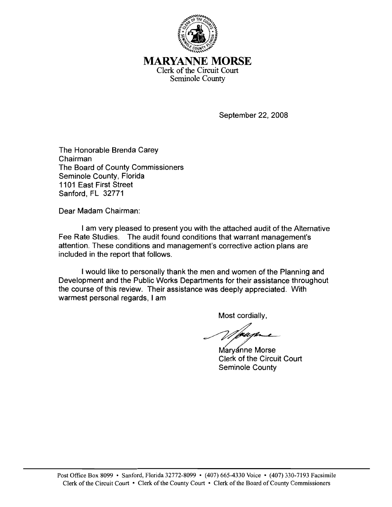

**MARYANNE MORSE** Clerk of the Circuit Court Seminole County

September 22, 2008

The Honorable Brenda Carey Chairman The Board of County Commissioners Seminole County, Florida 1101 East First Street Sanford, FL 32771

Dear Madam Chairman:

I am very pleased to present you with the attached audit of the Alternative Fee Rate Studies. The audit found conditions that warrant management's attention. These conditions and management's corrective action plans are included in the report that follows.

I would like to personally thank the men and women of the Planning and Development and the Public Works Departments for their assistance throughout the course of this review. Their assistance was deeply appreciated. With warmest personal regards, I am

Most cordially.

Maryanne Morse **Clerk of the Circuit Court** Seminole County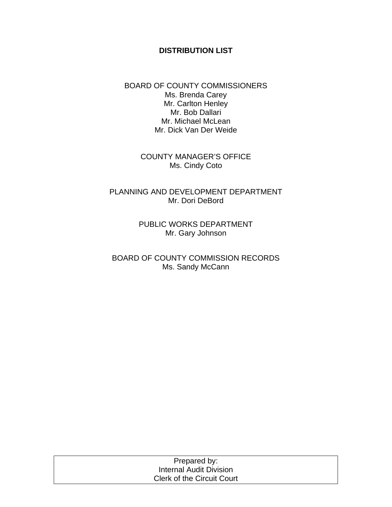### **DISTRIBUTION LIST**

BOARD OF COUNTY COMMISSIONERS Ms. Brenda Carey Mr. Carlton Henley Mr. Bob Dallari Mr. Michael McLean Mr. Dick Van Der Weide

> COUNTY MANAGER'S OFFICE Ms. Cindy Coto

PLANNING AND DEVELOPMENT DEPARTMENT Mr. Dori DeBord

> PUBLIC WORKS DEPARTMENT Mr. Gary Johnson

BOARD OF COUNTY COMMISSION RECORDS Ms. Sandy McCann

| Prepared by:                      |  |
|-----------------------------------|--|
| Internal Audit Division           |  |
| <b>Clerk of the Circuit Court</b> |  |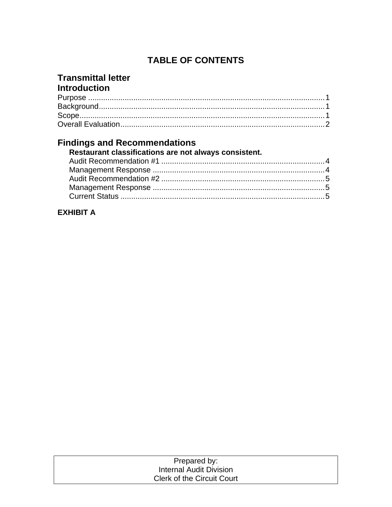# **TABLE OF CONTENTS**

## **Transmittal letter Introduction**

# **Findings and Recommendations**

| Restaurant classifications are not always consistent. |  |
|-------------------------------------------------------|--|
|                                                       |  |
|                                                       |  |
|                                                       |  |
|                                                       |  |
|                                                       |  |

# **EXHIBIT A**

| Prepared by:                      |  |
|-----------------------------------|--|
| Internal Audit Division           |  |
| <b>Clerk of the Circuit Court</b> |  |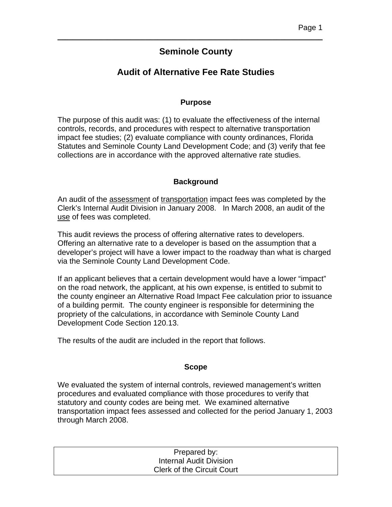## **Seminole County**

\_\_\_\_\_\_\_\_\_\_\_\_\_\_\_\_\_\_\_\_\_\_\_\_\_\_\_\_\_\_\_\_\_\_\_\_\_\_\_\_\_\_\_\_\_\_\_\_\_\_\_\_\_\_\_\_\_\_\_\_\_\_\_\_\_\_\_\_\_

## **Audit of Alternative Fee Rate Studies**

### **Purpose**

The purpose of this audit was: (1) to evaluate the effectiveness of the internal controls, records, and procedures with respect to alternative transportation impact fee studies; (2) evaluate compliance with county ordinances, Florida Statutes and Seminole County Land Development Code; and (3) verify that fee collections are in accordance with the approved alternative rate studies.

#### **Background**

An audit of the assessment of transportation impact fees was completed by the Clerk's Internal Audit Division in January 2008. In March 2008, an audit of the use of fees was completed.

This audit reviews the process of offering alternative rates to developers. Offering an alternative rate to a developer is based on the assumption that a developer's project will have a lower impact to the roadway than what is charged via the Seminole County Land Development Code.

If an applicant believes that a certain development would have a lower "impact" on the road network, the applicant, at his own expense, is entitled to submit to the county engineer an Alternative Road Impact Fee calculation prior to issuance of a building permit. The county engineer is responsible for determining the propriety of the calculations, in accordance with Seminole County Land Development Code Section 120.13.

The results of the audit are included in the report that follows.

#### **Scope**

We evaluated the system of internal controls, reviewed management's written procedures and evaluated compliance with those procedures to verify that statutory and county codes are being met. We examined alternative transportation impact fees assessed and collected for the period January 1, 2003 through March 2008.

| Prepared by:                      |  |
|-----------------------------------|--|
| Internal Audit Division           |  |
| <b>Clerk of the Circuit Court</b> |  |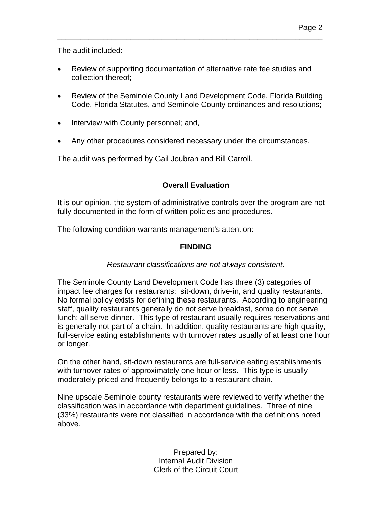The audit included:

• Review of supporting documentation of alternative rate fee studies and collection thereof;

\_\_\_\_\_\_\_\_\_\_\_\_\_\_\_\_\_\_\_\_\_\_\_\_\_\_\_\_\_\_\_\_\_\_\_\_\_\_\_\_\_\_\_\_\_\_\_\_\_\_\_\_\_\_\_\_\_\_\_\_\_\_\_\_\_\_\_\_\_

- Review of the Seminole County Land Development Code, Florida Building Code, Florida Statutes, and Seminole County ordinances and resolutions;
- Interview with County personnel; and,
- Any other procedures considered necessary under the circumstances.

The audit was performed by Gail Joubran and Bill Carroll.

## **Overall Evaluation**

It is our opinion, the system of administrative controls over the program are not fully documented in the form of written policies and procedures.

The following condition warrants management's attention:

## **FINDING**

### *Restaurant classifications are not always consistent.*

The Seminole County Land Development Code has three (3) categories of impact fee charges for restaurants: sit-down, drive-in, and quality restaurants. No formal policy exists for defining these restaurants. According to engineering staff, quality restaurants generally do not serve breakfast, some do not serve lunch; all serve dinner. This type of restaurant usually requires reservations and is generally not part of a chain. In addition, quality restaurants are high-quality, full-service eating establishments with turnover rates usually of at least one hour or longer.

On the other hand, sit-down restaurants are full-service eating establishments with turnover rates of approximately one hour or less. This type is usually moderately priced and frequently belongs to a restaurant chain.

Nine upscale Seminole county restaurants were reviewed to verify whether the classification was in accordance with department guidelines. Three of nine (33%) restaurants were not classified in accordance with the definitions noted above.

| Prepared by:                      |  |
|-----------------------------------|--|
| Internal Audit Division           |  |
| <b>Clerk of the Circuit Court</b> |  |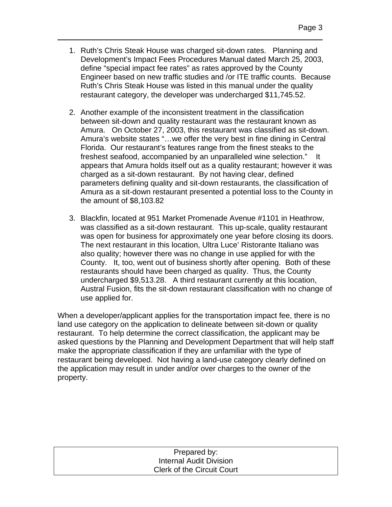1. Ruth's Chris Steak House was charged sit-down rates. Planning and Development's Impact Fees Procedures Manual dated March 25, 2003, define "special impact fee rates" as rates approved by the County Engineer based on new traffic studies and /or ITE traffic counts. Because Ruth's Chris Steak House was listed in this manual under the quality restaurant category, the developer was undercharged \$11,745.52.

\_\_\_\_\_\_\_\_\_\_\_\_\_\_\_\_\_\_\_\_\_\_\_\_\_\_\_\_\_\_\_\_\_\_\_\_\_\_\_\_\_\_\_\_\_\_\_\_\_\_\_\_\_\_\_\_\_\_\_\_\_\_\_\_\_\_\_\_\_

- 2. Another example of the inconsistent treatment in the classification between sit-down and quality restaurant was the restaurant known as Amura. On October 27, 2003, this restaurant was classified as sit-down. Amura's website states "…we offer the very best in fine dining in Central Florida. Our restaurant's features range from the finest steaks to the freshest seafood, accompanied by an unparalleled wine selection." It appears that Amura holds itself out as a quality restaurant; however it was charged as a sit-down restaurant. By not having clear, defined parameters defining quality and sit-down restaurants, the classification of Amura as a sit-down restaurant presented a potential loss to the County in the amount of \$8,103.82
- 3. Blackfin, located at 951 Market Promenade Avenue #1101 in Heathrow, was classified as a sit-down restaurant. This up-scale, quality restaurant was open for business for approximately one year before closing its doors. The next restaurant in this location, Ultra Luce' Ristorante Italiano was also quality; however there was no change in use applied for with the County. It, too, went out of business shortly after opening. Both of these restaurants should have been charged as quality. Thus, the County undercharged \$9,513.28. A third restaurant currently at this location, Austral Fusion, fits the sit-down restaurant classification with no change of use applied for.

When a developer/applicant applies for the transportation impact fee, there is no land use category on the application to delineate between sit-down or quality restaurant. To help determine the correct classification, the applicant may be asked questions by the Planning and Development Department that will help staff make the appropriate classification if they are unfamiliar with the type of restaurant being developed. Not having a land-use category clearly defined on the application may result in under and/or over charges to the owner of the property.

| Prepared by:                      |
|-----------------------------------|
| <b>Internal Audit Division</b>    |
| <b>Clerk of the Circuit Court</b> |
|                                   |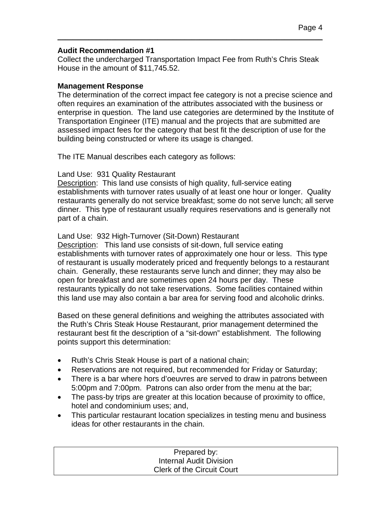#### **Audit Recommendation #1**

Collect the undercharged Transportation Impact Fee from Ruth's Chris Steak House in the amount of \$11,745.52.

\_\_\_\_\_\_\_\_\_\_\_\_\_\_\_\_\_\_\_\_\_\_\_\_\_\_\_\_\_\_\_\_\_\_\_\_\_\_\_\_\_\_\_\_\_\_\_\_\_\_\_\_\_\_\_\_\_\_\_\_\_\_\_\_\_\_\_\_\_

#### **Management Response**

The determination of the correct impact fee category is not a precise science and often requires an examination of the attributes associated with the business or enterprise in question. The land use categories are determined by the Institute of Transportation Engineer (ITE) manual and the projects that are submitted are assessed impact fees for the category that best fit the description of use for the building being constructed or where its usage is changed.

The ITE Manual describes each category as follows:

#### Land Use: 931 Quality Restaurant

Description: This land use consists of high quality, full-service eating establishments with turnover rates usually of at least one hour or longer. Quality restaurants generally do not service breakfast; some do not serve lunch; all serve dinner. This type of restaurant usually requires reservations and is generally not part of a chain.

#### Land Use: 932 High-Turnover (Sit-Down) Restaurant

Description: This land use consists of sit-down, full service eating establishments with turnover rates of approximately one hour or less. This type of restaurant is usually moderately priced and frequently belongs to a restaurant chain. Generally, these restaurants serve lunch and dinner; they may also be open for breakfast and are sometimes open 24 hours per day. These restaurants typically do not take reservations. Some facilities contained within this land use may also contain a bar area for serving food and alcoholic drinks.

Based on these general definitions and weighing the attributes associated with the Ruth's Chris Steak House Restaurant, prior management determined the restaurant best fit the description of a "sit-down" establishment. The following points support this determination:

- Ruth's Chris Steak House is part of a national chain;
- Reservations are not required, but recommended for Friday or Saturday;
- There is a bar where hors d'oeuvres are served to draw in patrons between 5:00pm and 7:00pm. Patrons can also order from the menu at the bar;
- The pass-by trips are greater at this location because of proximity to office, hotel and condominium uses; and,
- This particular restaurant location specializes in testing menu and business ideas for other restaurants in the chain.

| Prepared by:                      |  |
|-----------------------------------|--|
| Internal Audit Division           |  |
| <b>Clerk of the Circuit Court</b> |  |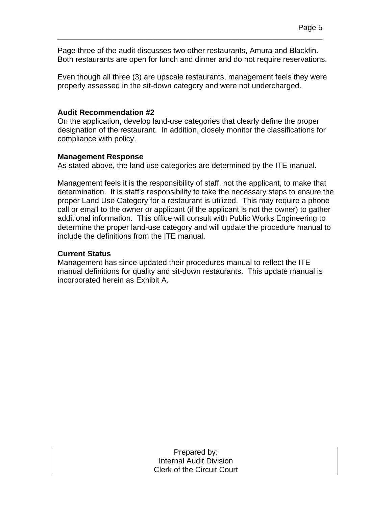Page three of the audit discusses two other restaurants, Amura and Blackfin. Both restaurants are open for lunch and dinner and do not require reservations.

\_\_\_\_\_\_\_\_\_\_\_\_\_\_\_\_\_\_\_\_\_\_\_\_\_\_\_\_\_\_\_\_\_\_\_\_\_\_\_\_\_\_\_\_\_\_\_\_\_\_\_\_\_\_\_\_\_\_\_\_\_\_\_\_\_\_\_\_\_

Even though all three (3) are upscale restaurants, management feels they were properly assessed in the sit-down category and were not undercharged.

#### **Audit Recommendation #2**

On the application, develop land-use categories that clearly define the proper designation of the restaurant. In addition, closely monitor the classifications for compliance with policy.

#### **Management Response**

As stated above, the land use categories are determined by the ITE manual.

Management feels it is the responsibility of staff, not the applicant, to make that determination. It is staff's responsibility to take the necessary steps to ensure the proper Land Use Category for a restaurant is utilized. This may require a phone call or email to the owner or applicant (if the applicant is not the owner) to gather additional information. This office will consult with Public Works Engineering to determine the proper land-use category and will update the procedure manual to include the definitions from the ITE manual.

### **Current Status**

Management has since updated their procedures manual to reflect the ITE manual definitions for quality and sit-down restaurants. This update manual is incorporated herein as Exhibit A.

| Prepared by:                      |  |
|-----------------------------------|--|
| Internal Audit Division           |  |
| <b>Clerk of the Circuit Court</b> |  |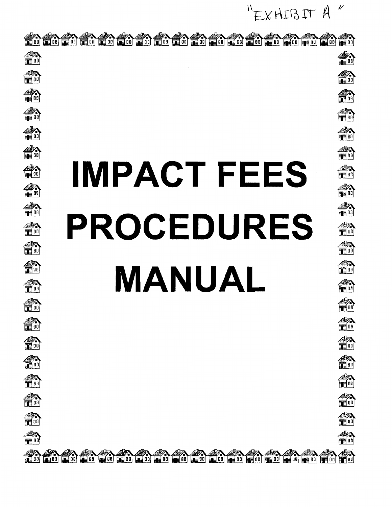$^{\prime\prime}$ "EXHIBIT A

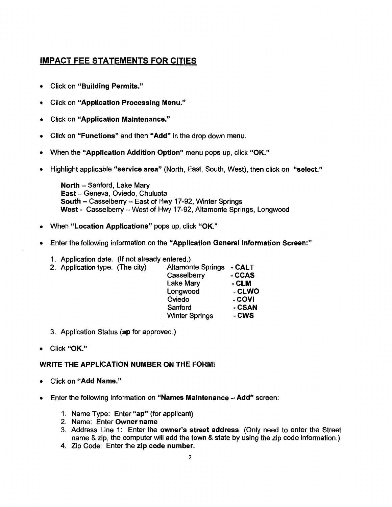# **IMPACT FEE STATEMENTS FOR CITIES**

- **Click on "Building Permits."**  $\bullet$
- **Click on "Application Processing Menu."**  $\bullet$
- **Click on "Application Maintenance."**  $\bullet$
- Click on "Functions" and then "Add" in the drop down menu.  $\bullet$
- When the "Application Addition Option" menu pops up, click "OK."  $\bullet$
- Highlight applicable "service area" (North, East, South, West), then click on "select."  $\bullet$

North - Sanford, Lake Mary East - Geneva, Oviedo, Chuluota South - Casselberry - East of Hwy 17-92, Winter Springs West - Casselberry - West of Hwy 17-92. Altamonte Springs, Longwood

- When "Location Applications" pops up. click "OK."  $\bullet$
- Enter the following information on the "Application General Information Screen:"
	- 1. Application date. (If not already entered.)

| 2. Application type. (The city) | <b>Altamonte Springs</b> | - CALT |
|---------------------------------|--------------------------|--------|
|                                 | Casselberry              | - CCAS |
|                                 | Lake Mary                | - CLM  |
|                                 | Longwood                 | - CLWO |
|                                 | Oviedo                   | - COVI |
|                                 | Sanford                  | - CSAN |
|                                 | <b>Winter Springs</b>    | - CWS  |
|                                 |                          |        |

- 3. Application Status (ap for approved.)
- Click "OK."

#### **WRITE THE APPLICATION NUMBER ON THE FORM!**

- Click on "Add Name."
- Enter the following information on "Names Maintenance Add" screen:
	- 1. Name Type: Enter "ap" (for applicant)
	- 2. Name: Enter Owner name
	- 3. Address Line 1: Enter the owner's street address. (Only need to enter the Street name & zip, the computer will add the town & state by using the zip code information.)
	- 4. Zip Code: Enter the zip code number.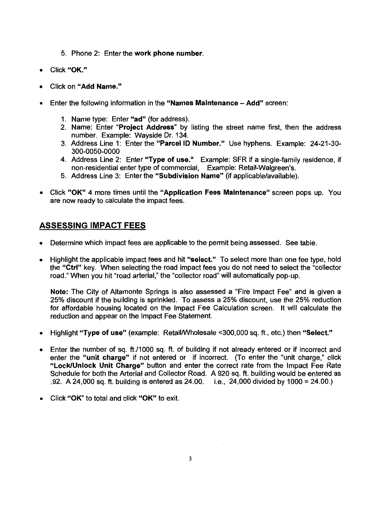- 5. Phone 2: Enter the work phone number.
- Click "OK."
- Click on "Add Name."
- Enter the following information in the "Names Maintenance Add" screen:
	- 1. Name type: Enter "ad" (for address).
	- 2. Name: Enter "Project Address" by listing the street name first, then the address number. Example: Wavside Dr. 134.
	- 3. Address Line 1: Enter the "Parcel ID Number." Use hyphens. Example: 24-21-30-300-0050-0000
	- 4. Address Line 2: Enter "Type of use." Example: SFR if a single-family residence, if non-residential enter type of commercial, Example: Retail-Walgreen's.
	- 5. Address Line 3: Enter the "Subdivision Name" (if applicable/available).
- Click "OK" 4 more times until the "Application Fees Maintenance" screen pops up. You are now ready to calculate the impact fees.

### **ASSESSING IMPACT FEES**

- Determine which impact fees are applicable to the permit being assessed. See table.
- Highlight the applicable impact fees and hit "select." To select more than one fee type, hold the "Ctrl" key. When selecting the road impact fees you do not need to select the "collector" road." When you hit "road arterial," the "collector road" will automatically pop-up.

Note: The City of Altamonte Springs is also assessed a "Fire Impact Fee" and is given a 25% discount if the building is sprinkled. To assess a 25% discount, use the 25% reduction for affordable housing located on the Impact Fee Calculation screen. It will calculate the reduction and appear on the Impact Fee Statement.

- Highlight "Type of use" (example: Retail/Wholesale <300.000 sq. ft., etc.) then "Select."  $\bullet$
- Enter the number of sq. ft./1000 sq. ft. of building if not already entered or if incorrect and  $\bullet$ enter the "unit charge" if not entered or if incorrect. (To enter the "unit charge," click "Lock/Unlock Unit Charge" button and enter the correct rate from the Impact Fee Rate Schedule for both the Arterial and Collector Road. A 920 sq. ft. building would be entered as .92. A 24,000 sq. ft. building is entered as  $24.00$ . i.e.,  $24,000$  divided by  $1000 = 24.00$ .)
- Click "OK" to total and click "OK" to exit.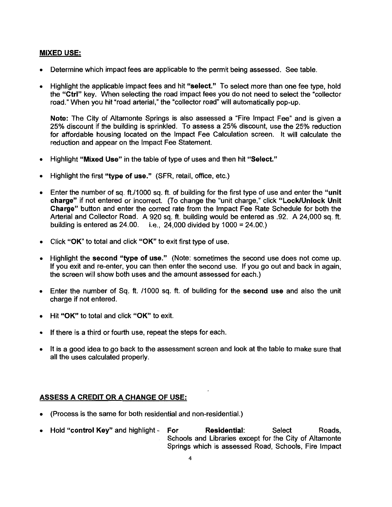#### **MIXED USE:**

- Determine which impact fees are applicable to the permit being assessed. See table.
- Highlight the applicable impact fees and hit "select." To select more than one fee type, hold  $\bullet$ the "Ctrl" key. When selecting the road impact fees you do not need to select the "collector" road." When you hit "road arterial," the "collector road" will automatically pop-up.

Note: The City of Altamonte Springs is also assessed a "Fire Impact Fee" and is given a 25% discount if the building is sprinkled. To assess a 25% discount, use the 25% reduction for affordable housing located on the Impact Fee Calculation screen. It will calculate the reduction and appear on the Impact Fee Statement.

- Highlight "Mixed Use" in the table of type of uses and then hit "Select."  $\bullet$
- Highlight the first "type of use." (SFR, retail, office, etc.)
- Enter the number of sq. ft./1000 sq. ft. of building for the first type of use and enter the "unit"  $\bullet$ charge" if not entered or incorrect. (To change the "unit charge," click "Lock/Unlock Unit Charge" button and enter the correct rate from the Impact Fee Rate Schedule for both the Arterial and Collector Road. A 920 sq. ft. building would be entered as .92. A 24,000 sq. ft. building is entered as  $24.00$ . i.e.,  $24.000$  divided by  $1000 = 24.00$ .)
- Click "OK" to total and click "OK" to exit first type of use.
- Highlight the second "type of use." (Note: sometimes the second use does not come up.  $\bullet$ If you exit and re-enter, you can then enter the second use. If you go out and back in again. the screen will show both uses and the amount assessed for each.)
- Enter the number of Sq. ft. /1000 sq. ft. of building for the second use and also the unit  $\bullet$ charge if not entered.
- Hit "OK" to total and click "OK" to exit.
- If there is a third or fourth use, repeat the steps for each.
- It is a good idea to go back to the assessment screen and look at the table to make sure that  $\bullet$ all the uses calculated properly.

#### **ASSESS A CREDIT OR A CHANGE OF USE:**

- (Process is the same for both residential and non-residential.)
- Hold "control Key" and highlight -For Residential: Select Roads. Schools and Libraries except for the City of Altamonte Springs which is assessed Road, Schools, Fire Impact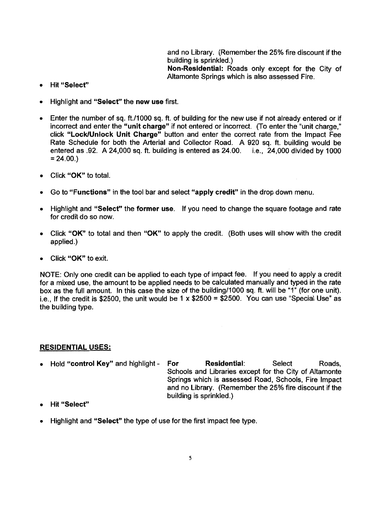and no Library. (Remember the 25% fire discount if the building is sprinkled.) Non-Residential: Roads only except for the City of Altamonte Springs which is also assessed Fire.

- Hit "Select"  $\bullet$
- Highlight and "Select" the new use first.
- Enter the number of sq. ft./1000 sq. ft. of building for the new use if not already entered or if incorrect and enter the "unit charge" if not entered or incorrect. (To enter the "unit charge." click "Lock/Unlock Unit Charge" button and enter the correct rate from the Impact Fee Rate Schedule for both the Arterial and Collector Road. A 920 sq. ft. building would be entered as .92. A 24,000 sq. ft. building is entered as 24.00. i.e., 24,000 divided by 1000  $= 24.00.$
- Click "OK" to total.
- Go to "Functions" in the tool bar and select "apply credit" in the drop down menu.  $\bullet$
- Highlight and "Select" the former use. If you need to change the square footage and rate for credit do so now.
- Click "OK" to total and then "OK" to apply the credit. (Both uses will show with the credit applied.)
- Click "OK" to exit.

NOTE: Only one credit can be applied to each type of impact fee. If you need to apply a credit for a mixed use, the amount to be applied needs to be calculated manually and typed in the rate box as the full amount. In this case the size of the building/1000 sq. ft. will be "1" (for one unit). i.e., If the credit is \$2500, the unit would be  $1 \times $2500 = $2500$ . You can use "Special Use" as the building type.

#### **RESIDENTIAL USES:**

- Hold "control Key" and highlight -For **Residential:** Select Roads. Schools and Libraries except for the City of Altamonte Springs which is assessed Road, Schools, Fire Impact and no Library. (Remember the 25% fire discount if the building is sprinkled.)
- Hit "Select"
- Highlight and "Select" the type of use for the first impact fee type.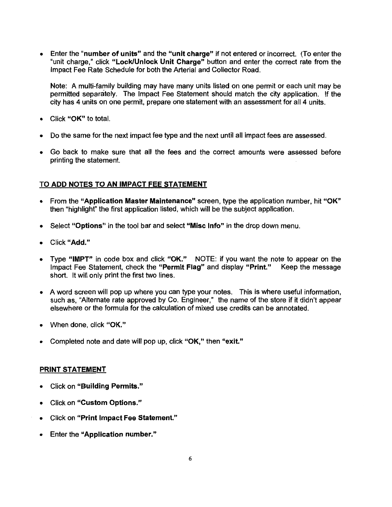Enter the "number of units" and the "unit charge" if not entered or incorrect. (To enter the  $\bullet$ "unit charge," click "Lock/Unlock Unit Charge" button and enter the correct rate from the Impact Fee Rate Schedule for both the Arterial and Collector Road.

Note: A multi-family building may have many units listed on one permit or each unit may be permitted separately. The Impact Fee Statement should match the city application. If the city has 4 units on one permit, prepare one statement with an assessment for all 4 units.

- Click "OK" to total.
- Do the same for the next impact fee type and the next until all impact fees are assessed.
- Go back to make sure that all the fees and the correct amounts were assessed before  $\bullet$ printing the statement.

#### TO ADD NOTES TO AN IMPACT FEE STATEMENT

- From the "Application Master Maintenance" screen, type the application number, hit "OK" then "highlight" the first application listed, which will be the subject application.
- Select "Options" in the tool bar and select "Misc Info" in the drop down menu.  $\bullet$
- Click "Add."
- Type "IMPT" in code box and click "OK." NOTE: if you want the note to appear on the Impact Fee Statement, check the "Permit Flag" and display "Print." Keep the message short. It will only print the first two lines.
- A word screen will pop up where you can type your notes. This is where useful information, such as, "Alternate rate approved by Co. Engineer," the name of the store if it didn't appear elsewhere or the formula for the calculation of mixed use credits can be annotated.
- When done, click "OK."  $\bullet$
- Completed note and date will pop up, click "OK," then "exit."

#### PRINT STATEMENT

- **Click on "Building Permits."**
- Click on "Custom Options."  $\bullet$
- Click on "Print Impact Fee Statement."
- **Enter the "Application number."**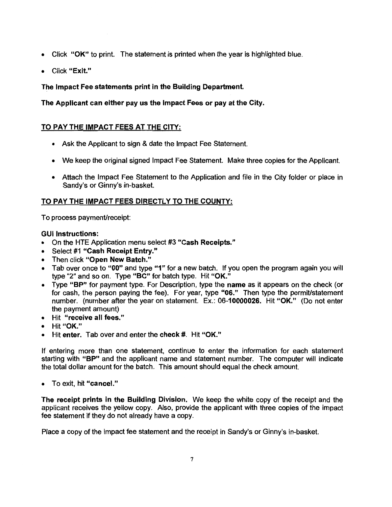- Click "OK" to print. The statement is printed when the year is highlighted blue.
- Click "Exit."

#### The Impact Fee statements print in the Building Department.

The Applicant can either pay us the Impact Fees or pay at the City.

#### TO PAY THE IMPACT FEES AT THE CITY:

- Ask the Applicant to sign & date the Impact Fee Statement.
- We keep the original signed Impact Fee Statement. Make three copies for the Applicant.
- Attach the Impact Fee Statement to the Application and file in the City folder or place in Sandy's or Ginny's in-basket.

#### TO PAY THE IMPACT FEES DIRECTLY TO THE COUNTY:

To process payment/receipt:

#### **GUI Instructions:**

- On the HTE Application menu select #3 "Cash Receipts."
- Select #1 "Cash Receipt Entry."
- Then click "Open New Batch."
- Tab over once to "00" and type "1" for a new batch. If you open the program again you will type "2" and so on. Type "BC" for batch type. Hit "OK."
- Type "BP" for payment type. For Description, type the name as it appears on the check (or for cash, the person paying the fee). For year, type "06." Then type the permit/statement number. (number after the year on statement. Ex.: 06-10000026. Hit "OK." (Do not enter the payment amount)
- Hit "receive all fees."
- Hit "OK."
- Hit enter. Tab over and enter the check #. Hit "OK."

If entering more than one statement, continue to enter the information for each statement starting with "BP" and the applicant name and statement number. The computer will indicate the total dollar amount for the batch. This amount should equal the check amount.

• To exit, hit "cancel."

The receipt prints in the Building Division. We keep the white copy of the receipt and the applicant receives the yellow copy. Also, provide the applicant with three copies of the impact fee statement if they do not already have a copy.

Place a copy of the impact fee statement and the receipt in Sandy's or Ginny's in-basket.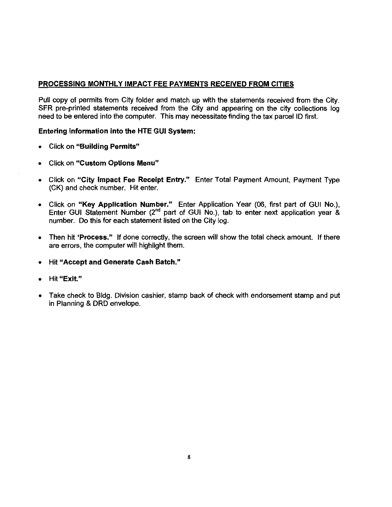#### **PROCESSING MONTHLY IMPACT FEE PAYMENTS RECEIVED FROM CITIES**

Pull copy of permits from City folder and match up with the statements received from the City. SFR pre-printed statements received from the City and appearing on the city collections log need to be entered into the computer. This may necessitate finding the tax parcel ID first.

#### Entering information into the HTE GUI System:

- Click on "Building Permits"
- Click on "Custom Options Menu"
- Click on "City Impact Fee Receipt Entry." Enter Total Payment Amount, Payment Type (CK) and check number. Hit enter.
- Click on "Key Application Number." Enter Application Year (06, first part of GUI No.), Enter GUI Statement Number (2<sup>nd</sup> part of GUI No.), tab to enter next application year & number. Do this for each statement listed on the City log.
- Then hit 'Process." If done correctly, the screen will show the total check amount. If there  $\bullet$ are errors, the computer will highlight them.
- Hit "Accept and Generate Cash Batch."  $\bullet$
- Hit "Exit."
- Take check to Bldg. Division cashier, stamp back of check with endorsement stamp and put  $\bullet$ in Planning & DRD envelope.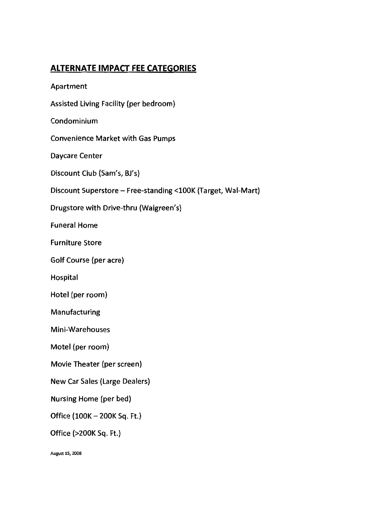# **ALTERNATE IMPACT FEE CATEGORIES**

Apartment

Assisted Living Facility (per bedroom)

Condominium

**Convenience Market with Gas Pumps** 

**Daycare Center** 

Discount Club (Sam's, BJ's)

Discount Superstore - Free-standing <100K (Target, Wal-Mart)

Drugstore with Drive-thru (Walgreen's)

**Funeral Home** 

**Furniture Store** 

Golf Course (per acre)

Hospital

Hotel (per room)

Manufacturing

Mini-Warehouses

Motel (per room)

Movie Theater (per screen)

**New Car Sales (Large Dealers)** 

Nursing Home (per bed)

Office (100K - 200K Sq. Ft.)

Office (>200K Sq. Ft.)

August 15, 2008